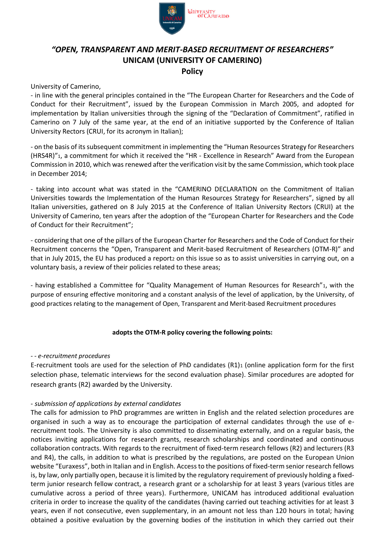

# *"OPEN, TRANSPARENT AND MERIT-BASED RECRUITMENT OF RESEARCHERS"* **UNICAM (UNIVERSITY OF CAMERINO) Policy**

University of Camerino,

- in line with the general principles contained in the "The European Charter for Researchers and the Code of Conduct for their Recruitment", issued by the European Commission in March 2005, and adopted for implementation by Italian universities through the signing of the "Declaration of Commitment", ratified in Camerino on 7 July of the same year, at the end of an initiative supported by the Conference of Italian University Rectors (CRUI, for its acronym in Italian);

- on the basis of its subsequent commitment in implementing the "Human Resources Strategy for Researchers (HRS4R)"1, a commitment for which it received the "HR - Excellence in Research" Award from the European Commission in 2010, which was renewed after the verification visit by the same Commission, which took place in December 2014;

- taking into account what was stated in the "CAMERINO DECLARATION on the Commitment of Italian Universities towards the Implementation of the Human Resources Strategy for Researchers", signed by all Italian universities, gathered on 8 July 2015 at the Conference of Italian University Rectors (CRUI) at the University of Camerino, ten years after the adoption of the "European Charter for Researchers and the Code of Conduct for their Recruitment";

- considering that one of the pillars of the European Charter for Researchers and the Code of Conduct for their Recruitment concerns the "Open, Transparent and Merit-based Recruitment of Researchers (OTM-R)" and that in July 2015, the EU has produced a reportz on this issue so as to assist universities in carrying out, on a voluntary basis, a review of their policies related to these areas;

- having established a Committee for "Quality Management of Human Resources for Research"1, with the purpose of ensuring effective monitoring and a constant analysis of the level of application, by the University, of good practices relating to the management of Open, Transparent and Merit-based Recruitment procedures

# **adopts the OTM-R policy covering the following points:**

## *- - e-recruitment procedures*

E-recruitment tools are used for the selection of PhD candidates (R1)<sup>1</sup> (online application form for the first selection phase, telematic interviews for the second evaluation phase). Similar procedures are adopted for research grants (R2) awarded by the University.

# - *submission of applications by external candidates*

The calls for admission to PhD programmes are written in English and the related selection procedures are organised in such a way as to encourage the participation of external candidates through the use of erecruitment tools. The University is also committed to disseminating externally, and on a regular basis, the notices inviting applications for research grants, research scholarships and coordinated and continuous collaboration contracts. With regards to the recruitment of fixed-term research fellows (R2) and lecturers (R3 and R4), the calls, in addition to what is prescribed by the regulations, are posted on the European Union website "Euraxess", both in Italian and in English. Access to the positions of fixed-term senior research fellows is, by law, only partially open, because it is limited by the regulatory requirement of previously holding a fixedterm junior research fellow contract, a research grant or a scholarship for at least 3 years (various titles are cumulative across a period of three years). Furthermore, UNICAM has introduced additional evaluation criteria in order to increase the quality of the candidates (having carried out teaching activities for at least 3 years, even if not consecutive, even supplementary, in an amount not less than 120 hours in total; having obtained a positive evaluation by the governing bodies of the institution in which they carried out their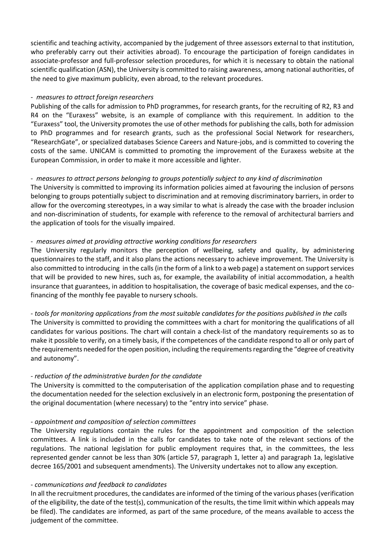scientific and teaching activity, accompanied by the judgement of three assessors external to that institution, who preferably carry out their activities abroad). To encourage the participation of foreign candidates in associate-professor and full-professor selection procedures, for which it is necessary to obtain the national scientific qualification (ASN), the University is committed to raising awareness, among national authorities, of the need to give maximum publicity, even abroad, to the relevant procedures.

## *- measures to attract foreign researchers*

Publishing of the calls for admission to PhD programmes, for research grants, for the recruiting of R2, R3 and R4 on the "Euraxess" website, is an example of compliance with this requirement. In addition to the "Euraxess" tool, the University promotes the use of other methods for publishing the calls, both for admission to PhD programmes and for research grants, such as the professional Social Network for researchers, "ResearchGate", or specialized databases Science Careers and Nature-jobs, and is committed to covering the costs of the same. UNICAM is committed to promoting the improvement of the Euraxess website at the European Commission, in order to make it more accessible and lighter.

# - *measures to attract persons belonging to groups potentially subject to any kind of discrimination*

The University is committed to improving its information policies aimed at favouring the inclusion of persons belonging to groups potentially subject to discrimination and at removing discriminatory barriers, in order to allow for the overcoming stereotypes, in a way similar to what is already the case with the broader inclusion and non-discrimination of students, for example with reference to the removal of architectural barriers and the application of tools for the visually impaired.

## - *measures aimed at providing attractive working conditions for researchers*

The University regularly monitors the perception of wellbeing, safety and quality, by administering questionnaires to the staff, and it also plans the actions necessary to achieve improvement. The University is also committed to introducing in the calls (in the form of a link to a web page) a statement on support services that will be provided to new hires, such as, for example, the availability of initial accommodation, a health insurance that guarantees, in addition to hospitalisation, the coverage of basic medical expenses, and the cofinancing of the monthly fee payable to nursery schools.

*- tools for monitoring applications from the most suitable candidates for the positions published in the calls* The University is committed to providing the committees with a chart for monitoring the qualifications of all candidates for various positions. The chart will contain a check-list of the mandatory requirements so as to make it possible to verify, on a timely basis, if the competences of the candidate respond to all or only part of the requirements needed for the open position, including the requirements regarding the "degree of creativity and autonomy".

# *- reduction of the administrative burden for the candidate*

The University is committed to the computerisation of the application compilation phase and to requesting the documentation needed for the selection exclusively in an electronic form, postponing the presentation of the original documentation (where necessary) to the "entry into service" phase.

## *- appointment and composition of selection committees*

The University regulations contain the rules for the appointment and composition of the selection committees. A link is included in the calls for candidates to take note of the relevant sections of the regulations. The national legislation for public employment requires that, in the committees, the less represented gender cannot be less than 30% (article 57, paragraph 1, letter a) and paragraph 1a, legislative decree 165/2001 and subsequent amendments). The University undertakes not to allow any exception.

## - *communications and feedback to candidates*

In all the recruitment procedures, the candidates are informed of the timing of the various phases (verification of the eligibility, the date of the test(s), communication of the results, the time limit within which appeals may be filed). The candidates are informed, as part of the same procedure, of the means available to access the judgement of the committee.